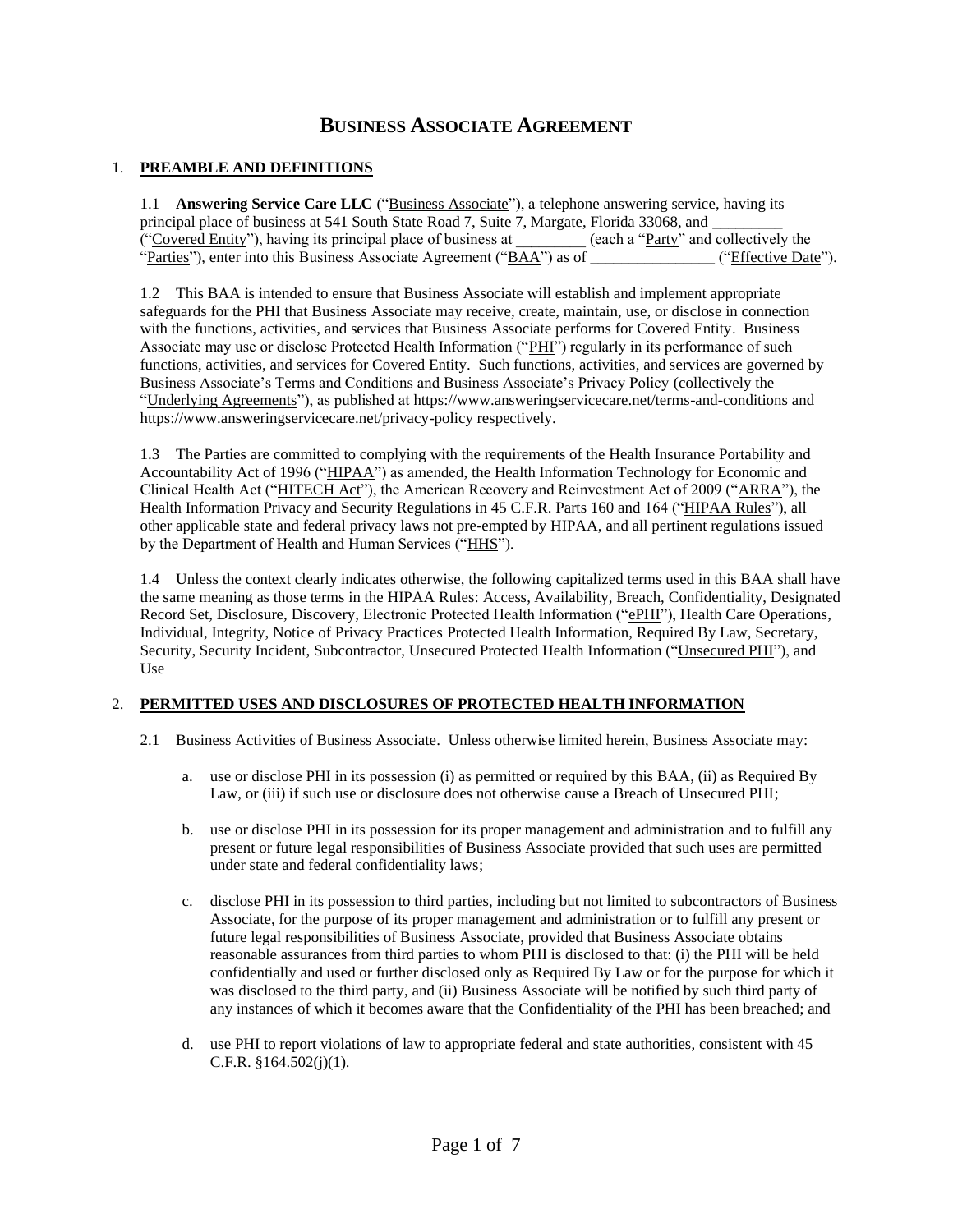# **BUSINESS ASSOCIATE AGREEMENT**

#### 1. **PREAMBLE AND DEFINITIONS**

1.1 **Answering Service Care LLC** ("Business Associate"), a telephone answering service, having its principal place of business at 541 South State Road 7, Suite 7, Margate, Florida 33068, and ("Covered Entity"), having its principal place of business at \_\_\_\_\_\_\_\_\_ (each a "Party" and collectively the "Parties"), enter into this Business Associate Agreement ("BAA") as of \_\_\_\_\_\_\_\_\_\_\_\_\_\_\_\_\_ ("Effective Date").

1.2 This BAA is intended to ensure that Business Associate will establish and implement appropriate safeguards for the PHI that Business Associate may receive, create, maintain, use, or disclose in connection with the functions, activities, and services that Business Associate performs for Covered Entity. Business Associate may use or disclose Protected Health Information ("PHI") regularly in its performance of such functions, activities, and services for Covered Entity. Such functions, activities, and services are governed by Business Associate's Terms and Conditions and Business Associate's Privacy Policy (collectively the "Underlying Agreements"), as published at https://www.answeringservicecare.net/terms-and-conditions and https://www.answeringservicecare.net/privacy-policy respectively.

1.3 The Parties are committed to complying with the requirements of the Health Insurance Portability and Accountability Act of 1996 ("HIPAA") as amended, the Health Information Technology for Economic and Clinical Health Act ("HITECH Act"), the American Recovery and Reinvestment Act of 2009 ("ARRA"), the Health Information Privacy and Security Regulations in 45 C.F.R. Parts 160 and 164 ("HIPAA Rules"), all other applicable state and federal privacy laws not pre-empted by HIPAA, and all pertinent regulations issued by the Department of Health and Human Services ("HHS").

1.4 Unless the context clearly indicates otherwise, the following capitalized terms used in this BAA shall have the same meaning as those terms in the HIPAA Rules: Access, Availability, Breach, Confidentiality, Designated Record Set, Disclosure, Discovery, Electronic Protected Health Information ("ePHI"), Health Care Operations, Individual, Integrity, Notice of Privacy Practices Protected Health Information, Required By Law, Secretary, Security, Security Incident, Subcontractor, Unsecured Protected Health Information ("Unsecured PHI"), and Use

### 2. **PERMITTED USES AND DISCLOSURES OF PROTECTED HEALTH INFORMATION**

- 2.1 Business Activities of Business Associate. Unless otherwise limited herein, Business Associate may:
	- a. use or disclose PHI in its possession (i) as permitted or required by this BAA, (ii) as Required By Law, or (iii) if such use or disclosure does not otherwise cause a Breach of Unsecured PHI;
	- b. use or disclose PHI in its possession for its proper management and administration and to fulfill any present or future legal responsibilities of Business Associate provided that such uses are permitted under state and federal confidentiality laws;
	- c. disclose PHI in its possession to third parties, including but not limited to subcontractors of Business Associate, for the purpose of its proper management and administration or to fulfill any present or future legal responsibilities of Business Associate, provided that Business Associate obtains reasonable assurances from third parties to whom PHI is disclosed to that: (i) the PHI will be held confidentially and used or further disclosed only as Required By Law or for the purpose for which it was disclosed to the third party, and (ii) Business Associate will be notified by such third party of any instances of which it becomes aware that the Confidentiality of the PHI has been breached; and
	- d. use PHI to report violations of law to appropriate federal and state authorities, consistent with 45 C.F.R. §164.502(j)(1).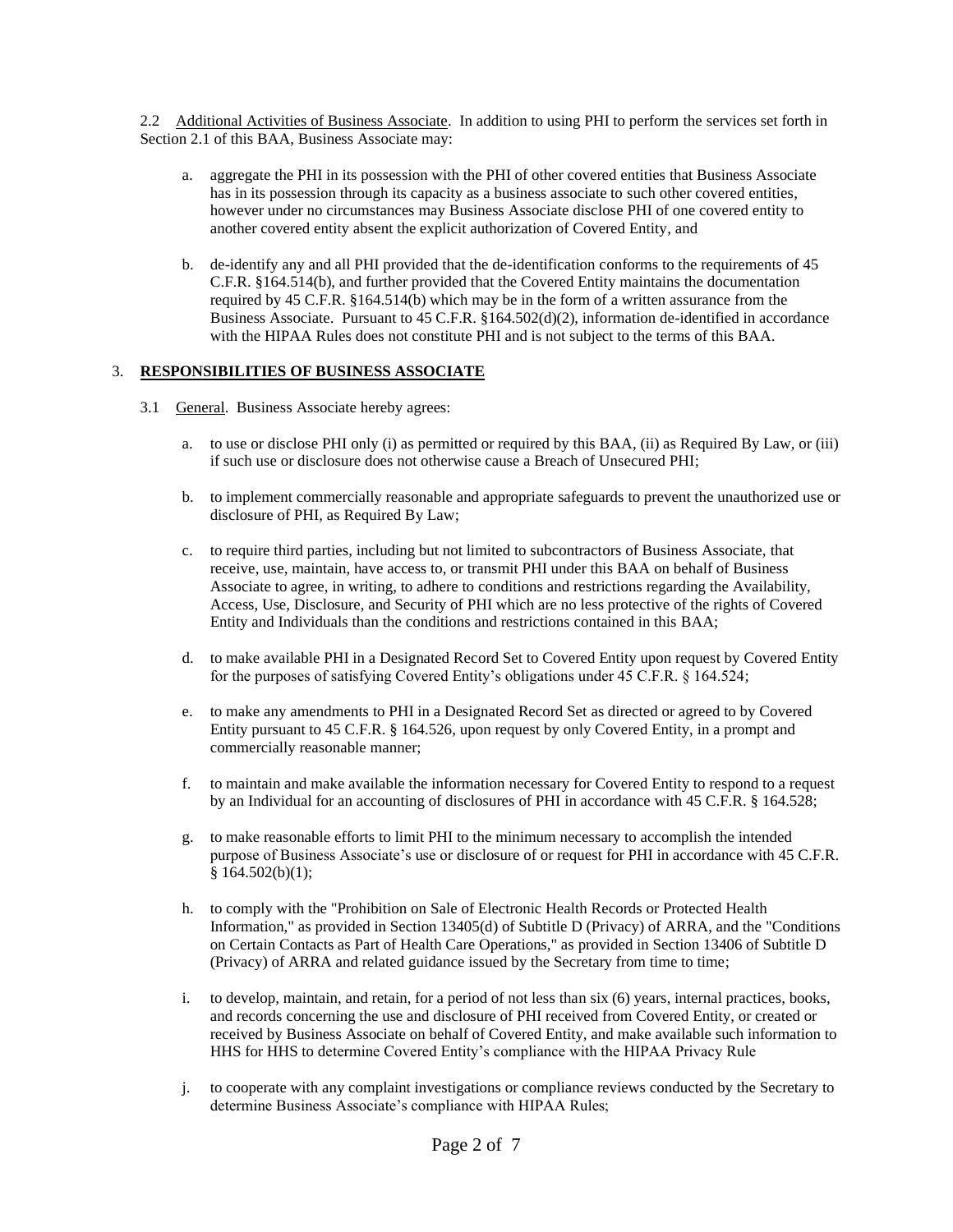2.2 Additional Activities of Business Associate. In addition to using PHI to perform the services set forth in Section 2.1 of this BAA, Business Associate may:

- a. aggregate the PHI in its possession with the PHI of other covered entities that Business Associate has in its possession through its capacity as a business associate to such other covered entities, however under no circumstances may Business Associate disclose PHI of one covered entity to another covered entity absent the explicit authorization of Covered Entity, and
- b. de-identify any and all PHI provided that the de-identification conforms to the requirements of 45 C.F.R. §164.514(b), and further provided that the Covered Entity maintains the documentation required by 45 C.F.R. §164.514(b) which may be in the form of a written assurance from the Business Associate. Pursuant to 45 C.F.R. §164.502(d)(2), information de-identified in accordance with the HIPAA Rules does not constitute PHI and is not subject to the terms of this BAA.

## 3. **RESPONSIBILITIES OF BUSINESS ASSOCIATE**

- 3.1 General. Business Associate hereby agrees:
	- a. to use or disclose PHI only (i) as permitted or required by this BAA, (ii) as Required By Law, or (iii) if such use or disclosure does not otherwise cause a Breach of Unsecured PHI;
	- b. to implement commercially reasonable and appropriate safeguards to prevent the unauthorized use or disclosure of PHI, as Required By Law;
	- c. to require third parties, including but not limited to subcontractors of Business Associate, that receive, use, maintain, have access to, or transmit PHI under this BAA on behalf of Business Associate to agree, in writing, to adhere to conditions and restrictions regarding the Availability, Access, Use, Disclosure, and Security of PHI which are no less protective of the rights of Covered Entity and Individuals than the conditions and restrictions contained in this BAA;
	- d. to make available PHI in a Designated Record Set to Covered Entity upon request by Covered Entity for the purposes of satisfying Covered Entity's obligations under 45 C.F.R. § 164.524;
	- e. to make any amendments to PHI in a Designated Record Set as directed or agreed to by Covered Entity pursuant to 45 C.F.R. § 164.526, upon request by only Covered Entity, in a prompt and commercially reasonable manner;
	- f. to maintain and make available the information necessary for Covered Entity to respond to a request by an Individual for an accounting of disclosures of PHI in accordance with 45 C.F.R. § 164.528;
	- g. to make reasonable efforts to limit PHI to the minimum necessary to accomplish the intended purpose of Business Associate's use or disclosure of or request for PHI in accordance with 45 C.F.R.  $§ 164.502(b)(1);$
	- h. to comply with the "Prohibition on Sale of Electronic Health Records or Protected Health Information," as provided in Section 13405(d) of Subtitle D (Privacy) of ARRA, and the "Conditions on Certain Contacts as Part of Health Care Operations," as provided in Section 13406 of Subtitle D (Privacy) of ARRA and related guidance issued by the Secretary from time to time;
	- i. to develop, maintain, and retain, for a period of not less than six (6) years, internal practices, books, and records concerning the use and disclosure of PHI received from Covered Entity, or created or received by Business Associate on behalf of Covered Entity, and make available such information to HHS for HHS to determine Covered Entity's compliance with the HIPAA Privacy Rule
	- j. to cooperate with any complaint investigations or compliance reviews conducted by the Secretary to determine Business Associate's compliance with HIPAA Rules;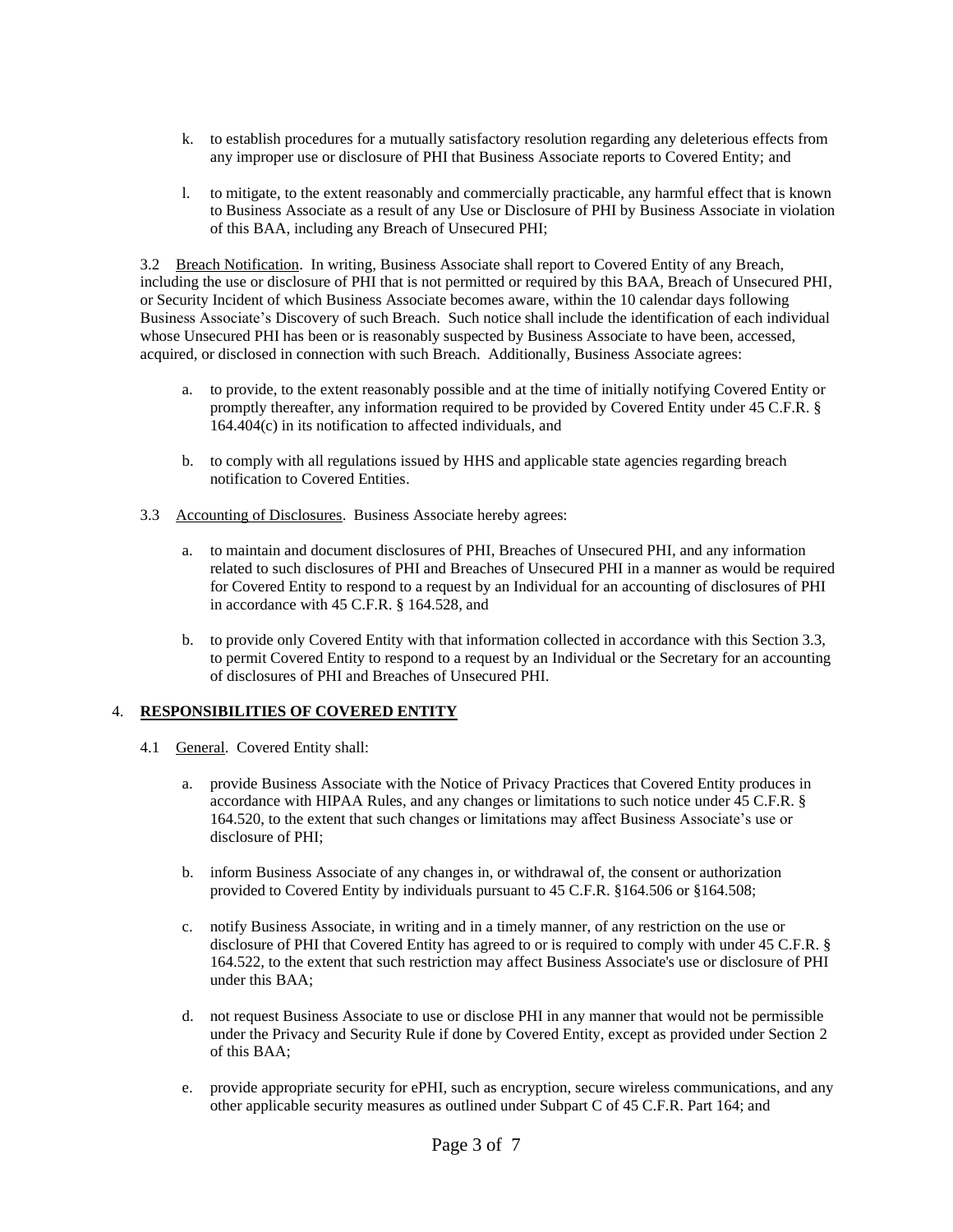- k. to establish procedures for a mutually satisfactory resolution regarding any deleterious effects from any improper use or disclosure of PHI that Business Associate reports to Covered Entity; and
- l. to mitigate, to the extent reasonably and commercially practicable, any harmful effect that is known to Business Associate as a result of any Use or Disclosure of PHI by Business Associate in violation of this BAA, including any Breach of Unsecured PHI;

3.2 Breach Notification. In writing, Business Associate shall report to Covered Entity of any Breach, including the use or disclosure of PHI that is not permitted or required by this BAA, Breach of Unsecured PHI, or Security Incident of which Business Associate becomes aware, within the 10 calendar days following Business Associate's Discovery of such Breach. Such notice shall include the identification of each individual whose Unsecured PHI has been or is reasonably suspected by Business Associate to have been, accessed, acquired, or disclosed in connection with such Breach. Additionally, Business Associate agrees:

- a. to provide, to the extent reasonably possible and at the time of initially notifying Covered Entity or promptly thereafter, any information required to be provided by Covered Entity under 45 C.F.R. § 164.404(c) in its notification to affected individuals, and
- b. to comply with all regulations issued by HHS and applicable state agencies regarding breach notification to Covered Entities.
- 3.3 Accounting of Disclosures. Business Associate hereby agrees:
	- a. to maintain and document disclosures of PHI, Breaches of Unsecured PHI, and any information related to such disclosures of PHI and Breaches of Unsecured PHI in a manner as would be required for Covered Entity to respond to a request by an Individual for an accounting of disclosures of PHI in accordance with 45 C.F.R. § 164.528, and
	- b. to provide only Covered Entity with that information collected in accordance with this Section 3.3, to permit Covered Entity to respond to a request by an Individual or the Secretary for an accounting of disclosures of PHI and Breaches of Unsecured PHI.

### 4. **RESPONSIBILITIES OF COVERED ENTITY**

- 4.1 General. Covered Entity shall:
	- a. provide Business Associate with the Notice of Privacy Practices that Covered Entity produces in accordance with HIPAA Rules, and any changes or limitations to such notice under 45 C.F.R. § 164.520, to the extent that such changes or limitations may affect Business Associate's use or disclosure of PHI;
	- b. inform Business Associate of any changes in, or withdrawal of, the consent or authorization provided to Covered Entity by individuals pursuant to 45 C.F.R. §164.506 or §164.508;
	- c. notify Business Associate, in writing and in a timely manner, of any restriction on the use or disclosure of PHI that Covered Entity has agreed to or is required to comply with under 45 C.F.R. § 164.522, to the extent that such restriction may affect Business Associate's use or disclosure of PHI under this BAA;
	- d. not request Business Associate to use or disclose PHI in any manner that would not be permissible under the Privacy and Security Rule if done by Covered Entity, except as provided under Section 2 of this BAA;
	- e. provide appropriate security for ePHI, such as encryption, secure wireless communications, and any other applicable security measures as outlined under Subpart C of 45 C.F.R. Part 164; and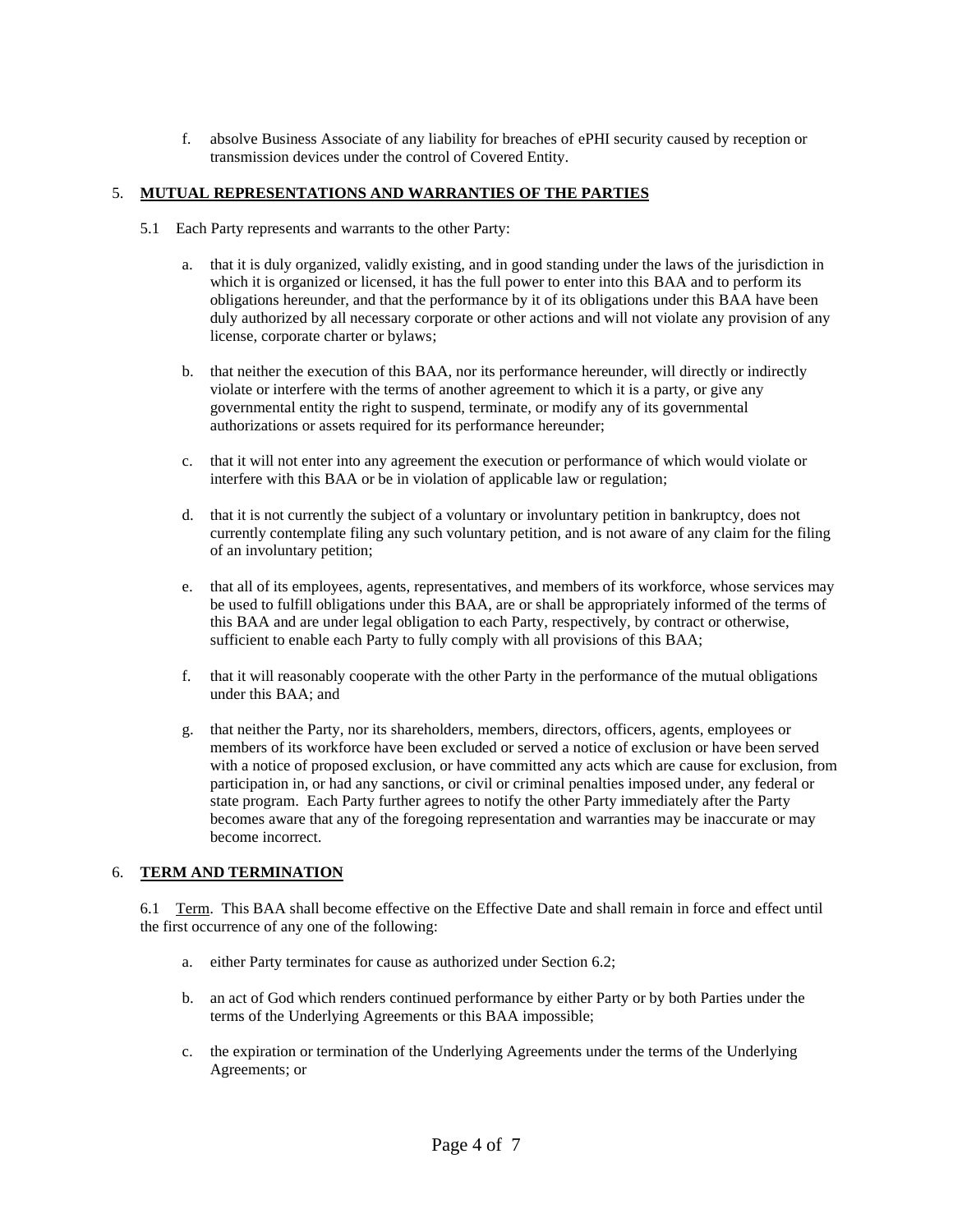f. absolve Business Associate of any liability for breaches of ePHI security caused by reception or transmission devices under the control of Covered Entity.

#### 5. **MUTUAL REPRESENTATIONS AND WARRANTIES OF THE PARTIES**

- 5.1 Each Party represents and warrants to the other Party:
	- a. that it is duly organized, validly existing, and in good standing under the laws of the jurisdiction in which it is organized or licensed, it has the full power to enter into this BAA and to perform its obligations hereunder, and that the performance by it of its obligations under this BAA have been duly authorized by all necessary corporate or other actions and will not violate any provision of any license, corporate charter or bylaws;
	- b. that neither the execution of this BAA, nor its performance hereunder, will directly or indirectly violate or interfere with the terms of another agreement to which it is a party, or give any governmental entity the right to suspend, terminate, or modify any of its governmental authorizations or assets required for its performance hereunder;
	- c. that it will not enter into any agreement the execution or performance of which would violate or interfere with this BAA or be in violation of applicable law or regulation;
	- d. that it is not currently the subject of a voluntary or involuntary petition in bankruptcy, does not currently contemplate filing any such voluntary petition, and is not aware of any claim for the filing of an involuntary petition;
	- e. that all of its employees, agents, representatives, and members of its workforce, whose services may be used to fulfill obligations under this BAA, are or shall be appropriately informed of the terms of this BAA and are under legal obligation to each Party, respectively, by contract or otherwise, sufficient to enable each Party to fully comply with all provisions of this BAA;
	- f. that it will reasonably cooperate with the other Party in the performance of the mutual obligations under this BAA; and
	- g. that neither the Party, nor its shareholders, members, directors, officers, agents, employees or members of its workforce have been excluded or served a notice of exclusion or have been served with a notice of proposed exclusion, or have committed any acts which are cause for exclusion, from participation in, or had any sanctions, or civil or criminal penalties imposed under, any federal or state program. Each Party further agrees to notify the other Party immediately after the Party becomes aware that any of the foregoing representation and warranties may be inaccurate or may become incorrect.

#### 6. **TERM AND TERMINATION**

6.1 Term. This BAA shall become effective on the Effective Date and shall remain in force and effect until the first occurrence of any one of the following:

- a. either Party terminates for cause as authorized under Section 6.2;
- b. an act of God which renders continued performance by either Party or by both Parties under the terms of the Underlying Agreements or this BAA impossible;
- c. the expiration or termination of the Underlying Agreements under the terms of the Underlying Agreements; or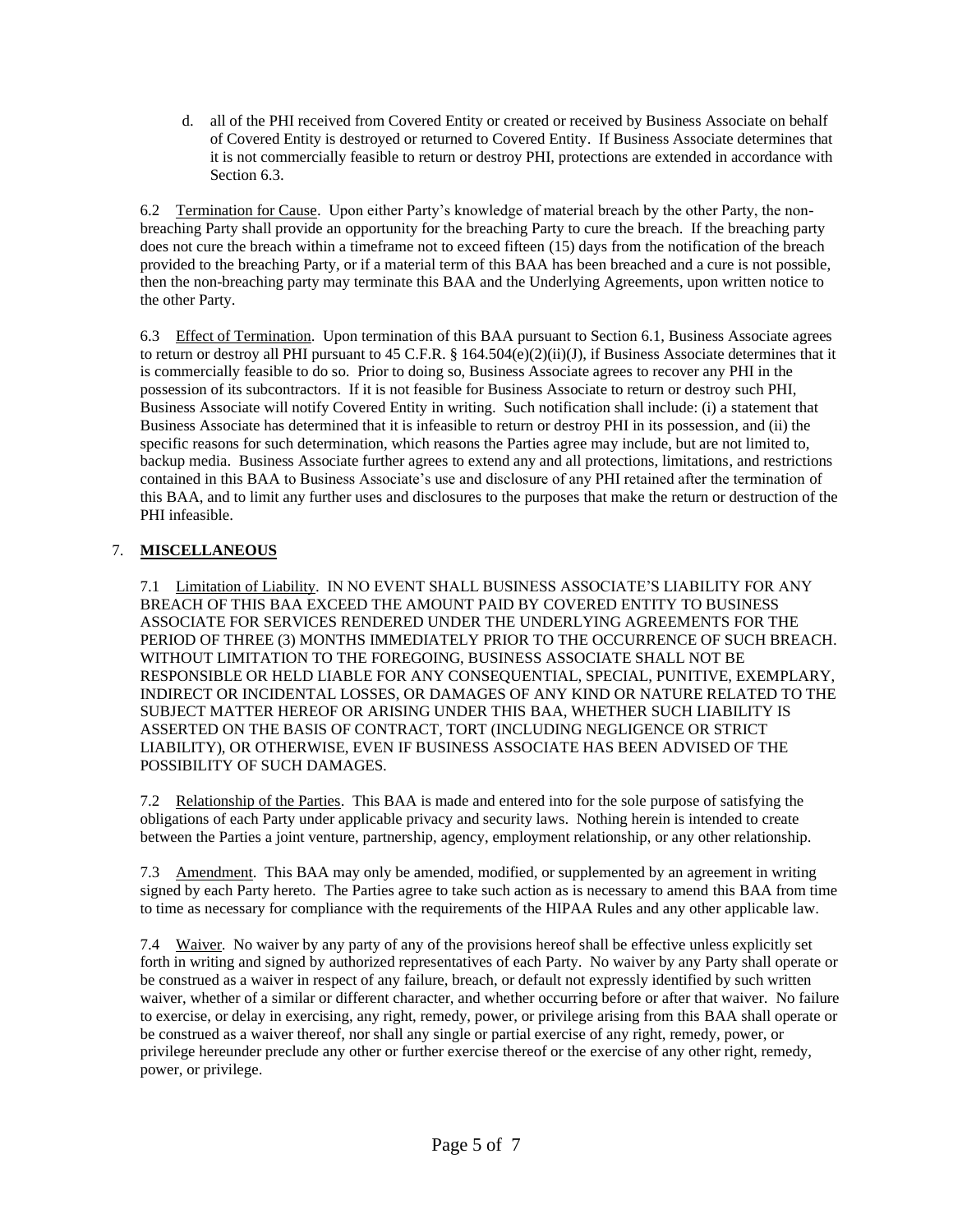d. all of the PHI received from Covered Entity or created or received by Business Associate on behalf of Covered Entity is destroyed or returned to Covered Entity. If Business Associate determines that it is not commercially feasible to return or destroy PHI, protections are extended in accordance with Section 6.3.

6.2 Termination for Cause. Upon either Party's knowledge of material breach by the other Party, the nonbreaching Party shall provide an opportunity for the breaching Party to cure the breach. If the breaching party does not cure the breach within a timeframe not to exceed fifteen (15) days from the notification of the breach provided to the breaching Party, or if a material term of this BAA has been breached and a cure is not possible, then the non-breaching party may terminate this BAA and the Underlying Agreements, upon written notice to the other Party.

6.3 Effect of Termination. Upon termination of this BAA pursuant to Section 6.1, Business Associate agrees to return or destroy all PHI pursuant to 45 C.F.R. § 164.504(e)(2)(ii)(J), if Business Associate determines that it is commercially feasible to do so. Prior to doing so, Business Associate agrees to recover any PHI in the possession of its subcontractors. If it is not feasible for Business Associate to return or destroy such PHI, Business Associate will notify Covered Entity in writing. Such notification shall include: (i) a statement that Business Associate has determined that it is infeasible to return or destroy PHI in its possession, and (ii) the specific reasons for such determination, which reasons the Parties agree may include, but are not limited to, backup media. Business Associate further agrees to extend any and all protections, limitations, and restrictions contained in this BAA to Business Associate's use and disclosure of any PHI retained after the termination of this BAA, and to limit any further uses and disclosures to the purposes that make the return or destruction of the PHI infeasible.

# 7. **MISCELLANEOUS**

7.1 Limitation of Liability. IN NO EVENT SHALL BUSINESS ASSOCIATE'S LIABILITY FOR ANY BREACH OF THIS BAA EXCEED THE AMOUNT PAID BY COVERED ENTITY TO BUSINESS ASSOCIATE FOR SERVICES RENDERED UNDER THE UNDERLYING AGREEMENTS FOR THE PERIOD OF THREE (3) MONTHS IMMEDIATELY PRIOR TO THE OCCURRENCE OF SUCH BREACH. WITHOUT LIMITATION TO THE FOREGOING, BUSINESS ASSOCIATE SHALL NOT BE RESPONSIBLE OR HELD LIABLE FOR ANY CONSEQUENTIAL, SPECIAL, PUNITIVE, EXEMPLARY, INDIRECT OR INCIDENTAL LOSSES, OR DAMAGES OF ANY KIND OR NATURE RELATED TO THE SUBJECT MATTER HEREOF OR ARISING UNDER THIS BAA, WHETHER SUCH LIABILITY IS ASSERTED ON THE BASIS OF CONTRACT, TORT (INCLUDING NEGLIGENCE OR STRICT LIABILITY), OR OTHERWISE, EVEN IF BUSINESS ASSOCIATE HAS BEEN ADVISED OF THE POSSIBILITY OF SUCH DAMAGES.

7.2 Relationship of the Parties. This BAA is made and entered into for the sole purpose of satisfying the obligations of each Party under applicable privacy and security laws. Nothing herein is intended to create between the Parties a joint venture, partnership, agency, employment relationship, or any other relationship.

7.3 Amendment. This BAA may only be amended, modified, or supplemented by an agreement in writing signed by each Party hereto. The Parties agree to take such action as is necessary to amend this BAA from time to time as necessary for compliance with the requirements of the HIPAA Rules and any other applicable law.

7.4 Waiver. No waiver by any party of any of the provisions hereof shall be effective unless explicitly set forth in writing and signed by authorized representatives of each Party. No waiver by any Party shall operate or be construed as a waiver in respect of any failure, breach, or default not expressly identified by such written waiver, whether of a similar or different character, and whether occurring before or after that waiver. No failure to exercise, or delay in exercising, any right, remedy, power, or privilege arising from this BAA shall operate or be construed as a waiver thereof, nor shall any single or partial exercise of any right, remedy, power, or privilege hereunder preclude any other or further exercise thereof or the exercise of any other right, remedy, power, or privilege.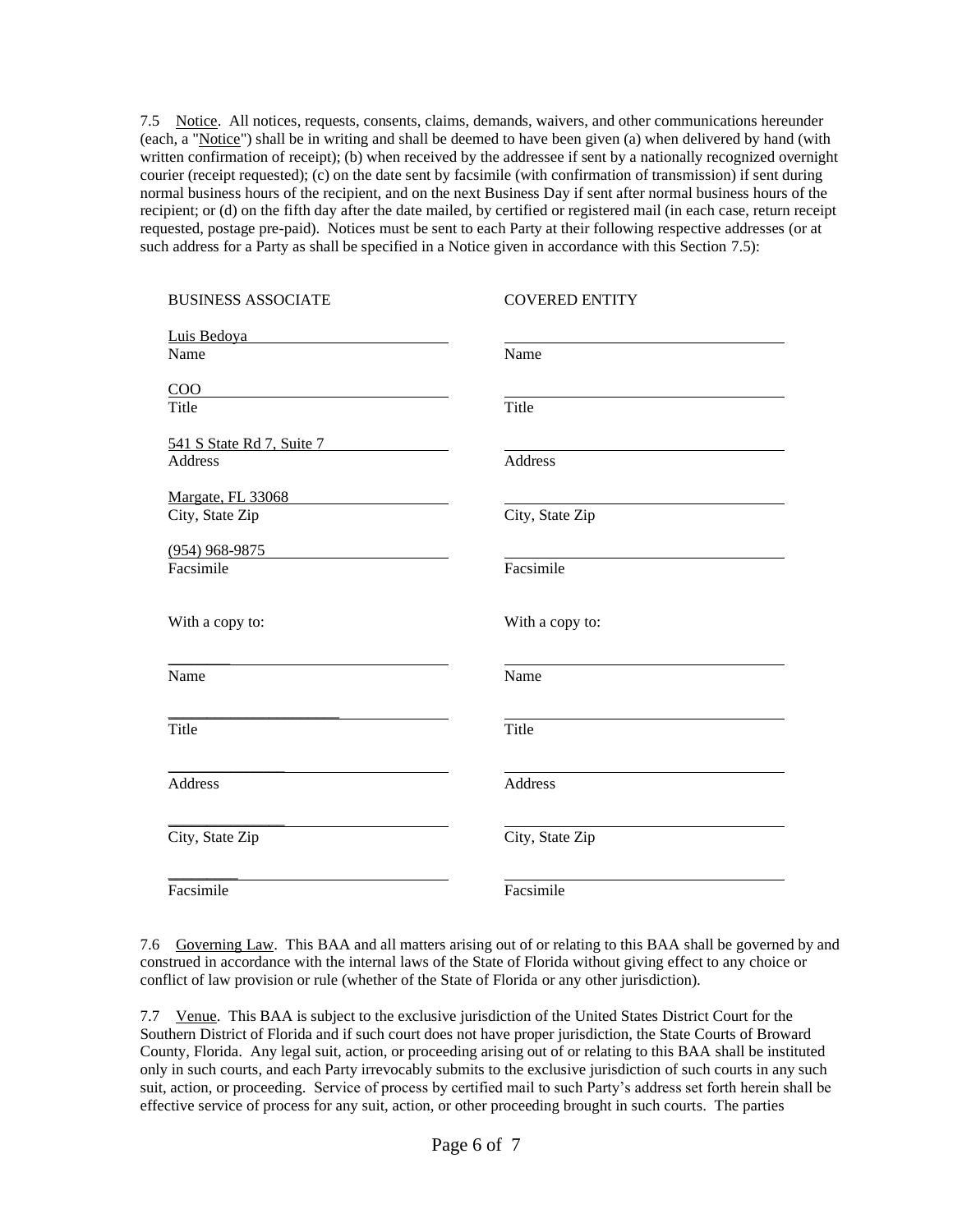7.5 Notice. All notices, requests, consents, claims, demands, waivers, and other communications hereunder (each, a "Notice") shall be in writing and shall be deemed to have been given (a) when delivered by hand (with written confirmation of receipt); (b) when received by the addressee if sent by a nationally recognized overnight courier (receipt requested); (c) on the date sent by facsimile (with confirmation of transmission) if sent during normal business hours of the recipient, and on the next Business Day if sent after normal business hours of the recipient; or (d) on the fifth day after the date mailed, by certified or registered mail (in each case, return receipt requested, postage pre-paid). Notices must be sent to each Party at their following respective addresses (or at such address for a Party as shall be specified in a Notice given in accordance with this Section 7.5):

| <b>BUSINESS ASSOCIATE</b> | <b>COVERED ENTITY</b> |
|---------------------------|-----------------------|
| Luis Bedoya               |                       |
| Name                      | Name                  |
| COO                       |                       |
| Title                     | Title                 |
| 541 S State Rd 7, Suite 7 |                       |
| <b>Address</b>            | Address               |
| Margate, FL 33068         |                       |
| City, State Zip           | City, State Zip       |
| $(954)$ 968-9875          |                       |
| Facsimile                 | Facsimile             |
|                           |                       |
| With a copy to:           | With a copy to:       |
|                           |                       |
| Name                      | Name                  |
|                           |                       |
| Title                     | Title                 |
| <b>Address</b>            | Address               |
|                           |                       |
| City, State Zip           | City, State Zip       |
|                           |                       |
| Facsimile                 | Facsimile             |
|                           |                       |

7.6 Governing Law. This BAA and all matters arising out of or relating to this BAA shall be governed by and construed in accordance with the internal laws of the State of Florida without giving effect to any choice or conflict of law provision or rule (whether of the State of Florida or any other jurisdiction).

7.7 Venue. This BAA is subject to the exclusive jurisdiction of the United States District Court for the Southern District of Florida and if such court does not have proper jurisdiction, the State Courts of Broward County, Florida. Any legal suit, action, or proceeding arising out of or relating to this BAA shall be instituted only in such courts, and each Party irrevocably submits to the exclusive jurisdiction of such courts in any such suit, action, or proceeding. Service of process by certified mail to such Party's address set forth herein shall be effective service of process for any suit, action, or other proceeding brought in such courts. The parties